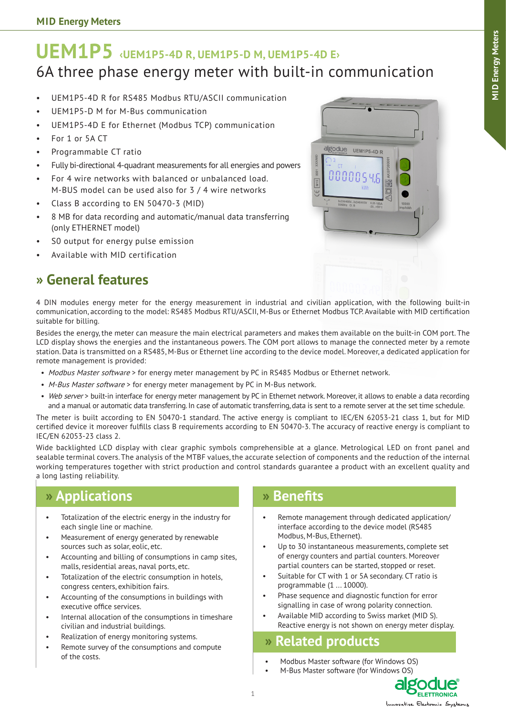# **UEM1P5 ‹UEM1P5-4D R, UEM1P5-D M, UEM1P5-4D E›** 6A three phase energy meter with built-in communication

- UEM1P5-4D R for RS485 Modbus RTU/ASCII communication
- UEM1P5-D M for M-Bus communication
- UEM1P5-4D E for Ethernet (Modbus TCP) communication
- For 1 or 5A CT
- Programmable CT ratio
- Fully bi-directional 4-quadrant measurements for all energies and powers
- For 4 wire networks with balanced or unbalanced load. M-BUS model can be used also for 3 / 4 wire networks
- Class B according to EN 50470-3 (MID)
- 8 MB for data recording and automatic/manual data transferring (only ETHERNET model)
- S0 output for energy pulse emission
- Available with MID certification

### **» General features**



4 DIN modules energy meter for the energy measurement in industrial and civilian application, with the following built-in communication, according to the model: RS485 Modbus RTU/ASCII, M-Bus or Ethernet Modbus TCP. Available with MID certification suitable for billing.

Besides the energy, the meter can measure the main electrical parameters and makes them available on the built-in COM port. The LCD display shows the energies and the instantaneous powers. The COM port allows to manage the connected meter by a remote station. Data is transmitted on a RS485, M-Bus or Ethernet line according to the device model. Moreover, a dedicated application for remote management is provided:

- Modbus Master software > for energy meter management by PC in RS485 Modbus or Ethernet network.
- M-Bus Master software > for energy meter management by PC in M-Bus network.
- Web server > built-in interface for energy meter management by PC in Ethernet network. Moreover, it allows to enable a data recording and a manual or automatic data transferring. In case of automatic transferring, data is sent to a remote server at the set time schedule.

The meter is built according to EN 50470-1 standard. The active energy is compliant to IEC/EN 62053-21 class 1, but for MID certified device it moreover fulfills class B requirements according to EN 50470-3. The accuracy of reactive energy is compliant to IEC/EN 62053-23 class 2.

Wide backlighted LCD display with clear graphic symbols comprehensible at a glance. Metrological LED on front panel and sealable terminal covers. The analysis of the MTBF values, the accurate selection of components and the reduction of the internal working temperatures together with strict production and control standards guarantee a product with an excellent quality and a long lasting reliability.

### **» Applications**

- Totalization of the electric energy in the industry for each single line or machine.
- Measurement of energy generated by renewable sources such as solar, eolic, etc.
- Accounting and billing of consumptions in camp sites, malls, residential areas, naval ports, etc.
- Totalization of the electric consumption in hotels. congress centers, exhibition fairs.
- Accounting of the consumptions in buildings with executive office services.
- Internal allocation of the consumptions in timeshare civilian and industrial buildings.
- Realization of energy monitoring systems.
- Remote survey of the consumptions and compute of the costs.

#### **» Benefits**

- Remote management through dedicated application/ interface according to the device model (RS485 Modbus, M-Bus, Ethernet).
- Up to 30 instantaneous measurements, complete set of energy counters and partial counters. Moreover partial counters can be started, stopped or reset.
- Suitable for CT with 1 or 5A secondary. CT ratio is programmable (1 ... 10000).
- Phase sequence and diagnostic function for error signalling in case of wrong polarity connection.
- Available MID according to Swiss market (MID S). Reactive energy is not shown on energy meter display.

### **» Related products**

• Modbus Master software (for Windows OS) • M-Bus Master software (for Windows OS)

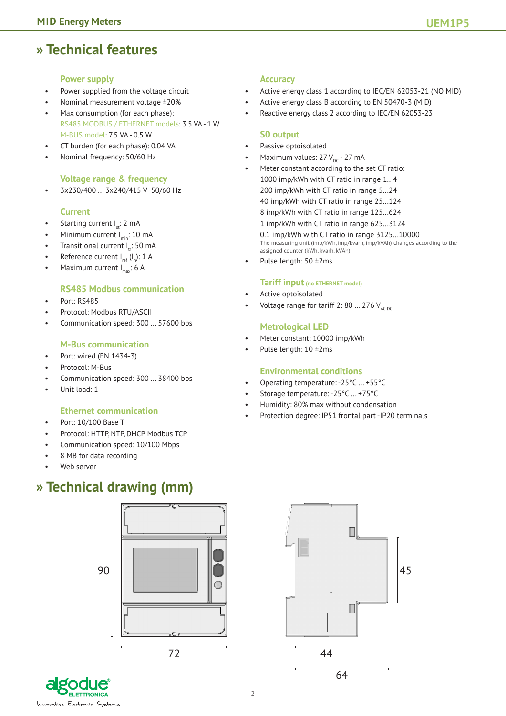### **» Technical features**

#### **Power supply**

- Power supplied from the voltage circuit
- Nominal measurement voltage ±20%
- Max consumption (for each phase): RS485 MODBUS / ETHERNET models: 3.5 VA - 1 W M-BUS model: 7.5 VA - 0.5 W
- CT burden (for each phase): 0.04 VA
- Nominal frequency: 50/60 Hz

#### **Voltage range & frequency**

• 3x230/400 ... 3x240/415 V 50/60 Hz

#### **Current**

- Starting current  $I_n: 2$  mA
- Minimum current  $I_{min}$ : 10 mA
- Transitional current  $I_{rt}$ : 50 mA
- Reference current  $I_{ref} (I_n)$ : 1 A
- Maximum current  $I_{\text{max}}$ : 6 A

#### **RS485 Modbus communication**

- Port: RS485
- Protocol: Modbus RTU/ASCII
- Communication speed: 300 ... 57600 bps

#### **M-Bus communication**

- Port: wired (EN 1434-3)
- Protocol: M-Bus
- Communication speed: 300 ... 38400 bps
- Unit load: 1

#### **Ethernet communication**

- Port: 10/100 Base T
- Protocol: HTTP, NTP, DHCP, Modbus TCP
- Communication speed: 10/100 Mbps
- 8 MB for data recording
- Web server

## **» Technical drawing (mm)**



#### **Accuracy**

- Active energy class 1 according to IEC/EN 62053-21 (NO MID)
- Active energy class B according to EN 50470-3 (MID)
- Reactive energy class 2 according to IEC/EN 62053-23

#### **S0 output**

- Passive optoisolated
- Maximum values:  $27 V_{\text{pc}}$  27 mA
- Meter constant according to the set CT ratio: 1000 imp/kWh with CT ratio in range 1...4 200 imp/kWh with CT ratio in range 5...24 40 imp/kWh with CT ratio in range 25...124 8 imp/kWh with CT ratio in range 125...624 1 imp/kWh with CT ratio in range 625...3124 0.1 imp/kWh with CT ratio in range 3125...10000 The measuring unit (imp/kWh, imp/kvarh, imp/kVAh) changes according to the assigned counter (kWh, kvarh, kVAh) Pulse length: 50 ±2ms
- 

#### **Tariff input (no ETHERNET model)**

- Active optoisolated
- Voltage range for tariff 2: 80 ... 276  $V_{\text{AGC}}$

#### **Metrological LED**

- Meter constant: 10000 imp/kWh
- Pulse length: 10 ±2ms

#### **Environmental conditions**

- Operating temperature: -25°C ... +55°C
- Storage temperature: -25°C ... +75°C
- Humidity: 80% max without condensation
- Protection degree: IP51 frontal part -IP20 terminals



**ELETTRONICA** ative Electronic System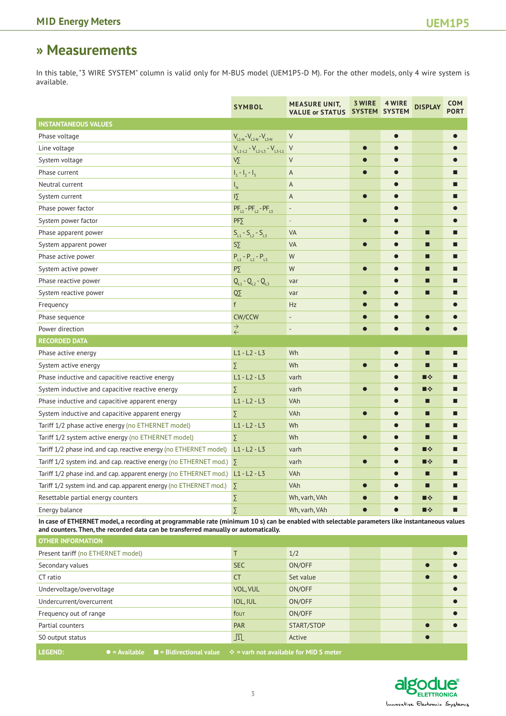### **» Measurements**

In this table, "3 WIRE SYSTEM" column is valid only for M-BUS model (UEM1P5-D M). For the other models, only 4 wire system is available.

|                                                                                                                                               | <b>SYMBOL</b>                        | <b>MEASURE UNIT,</b><br>VALUE or STATUS SYSTEM SYSTEM | 3 WIRE    | 4 WIRE    | <b>DISPLAY</b> | COM<br><b>PORT</b> |  |  |  |
|-----------------------------------------------------------------------------------------------------------------------------------------------|--------------------------------------|-------------------------------------------------------|-----------|-----------|----------------|--------------------|--|--|--|
| <b>INSTANTANEOUS VALUES</b>                                                                                                                   |                                      |                                                       |           |           |                |                    |  |  |  |
| Phase voltage                                                                                                                                 | $V_{L1-N} - V_{L2-N} - V_{L3-N}$     | $\vee$                                                |           |           |                |                    |  |  |  |
| Line voltage                                                                                                                                  | $V_{L1-L2} - V_{L2-L3} - V_{L3-L1}$  | V                                                     | $\bullet$ |           |                |                    |  |  |  |
| System voltage                                                                                                                                | Vÿ.                                  | $\vee$                                                |           |           |                |                    |  |  |  |
| Phase current                                                                                                                                 | $I_1 - I_2 - I_3$                    | A                                                     | $\bullet$ |           |                |                    |  |  |  |
| Neutral current                                                                                                                               | $\mathsf{I}_{\mathsf{N}}$            | A                                                     |           |           |                |                    |  |  |  |
| System current                                                                                                                                | $\overline{12}$                      | A                                                     | $\bullet$ |           |                |                    |  |  |  |
| Phase power factor                                                                                                                            | $PF_{11} - PF_{12} - PF_{13}$        | $\overline{\phantom{a}}$                              |           |           |                |                    |  |  |  |
| System power factor                                                                                                                           | $PF\sum$                             | $\overline{\phantom{a}}$                              | $\bullet$ |           |                |                    |  |  |  |
| Phase apparent power                                                                                                                          | $S_{L1} - S_{L2} - S_{L3}$           | VA                                                    |           |           | П              |                    |  |  |  |
| System apparent power                                                                                                                         | $S\bar{y}$                           | VA                                                    |           |           | П              |                    |  |  |  |
| Phase active power                                                                                                                            | $P_{L1} - P_{L2} - P_{L3}$           | W                                                     |           |           | Г              |                    |  |  |  |
| System active power                                                                                                                           | $P\sum$                              | W                                                     | $\bullet$ |           | □              |                    |  |  |  |
| Phase reactive power                                                                                                                          | $Q_{L1} - Q_{L2} - Q_{L3}$           | var                                                   |           | e         | □              |                    |  |  |  |
| System reactive power                                                                                                                         | $\overline{Q}$                       | var                                                   | $\bullet$ |           | □              |                    |  |  |  |
| Frequency                                                                                                                                     | f                                    | Hz                                                    |           |           |                |                    |  |  |  |
| Phase sequence                                                                                                                                | CW/CCW                               | $\overline{\phantom{a}}$                              |           |           | $\bullet$      |                    |  |  |  |
| Power direction                                                                                                                               | $\stackrel{\rightarrow}{\leftarrow}$ | $\overline{a}$                                        |           |           |                |                    |  |  |  |
| <b>RECORDED DATA</b>                                                                                                                          |                                      |                                                       |           |           |                |                    |  |  |  |
| Phase active energy                                                                                                                           | $L1 - L2 - L3$                       | Wh                                                    |           |           | Г              |                    |  |  |  |
| System active energy                                                                                                                          | Σ                                    | Wh                                                    | $\bullet$ |           | П              |                    |  |  |  |
| Phase inductive and capacitive reactive energy                                                                                                | $L1 - L2 - L3$                       | varh                                                  |           |           | ■※             |                    |  |  |  |
| System inductive and capacitive reactive energy                                                                                               | Σ                                    | varh                                                  | $\bullet$ |           | ■※             |                    |  |  |  |
| Phase inductive and capacitive apparent energy                                                                                                | $L1 - L2 - L3$                       | VAh                                                   |           |           | □              |                    |  |  |  |
| System inductive and capacitive apparent energy                                                                                               | Σ                                    | VAh                                                   | $\bullet$ |           | П              |                    |  |  |  |
| Tariff 1/2 phase active energy (no ETHERNET model)                                                                                            | $L1 - L2 - L3$                       | Wh                                                    |           |           | П              | П                  |  |  |  |
| Tariff 1/2 system active energy (no ETHERNET model)                                                                                           | Σ                                    | Wh                                                    | $\bullet$ |           | □              |                    |  |  |  |
| Tariff 1/2 phase ind. and cap. reactive energy (no ETHERNET model)                                                                            | $L1 - L2 - L3$                       | varh                                                  |           | e         | ■※             |                    |  |  |  |
| Tariff 1/2 system ind. and cap. reactive energy (no ETHERNET mod.) $\sum$                                                                     |                                      | varh                                                  |           |           | ■※             |                    |  |  |  |
| Tariff 1/2 phase ind. and cap. apparent energy (no ETHERNET mod.) L1 - L2 - L3                                                                |                                      | VAh                                                   |           |           | П              |                    |  |  |  |
| Tariff 1/2 system ind. and cap. apparent energy (no ETHERNET mod.)                                                                            | Σ                                    | VAh                                                   | $\bullet$ |           | П              |                    |  |  |  |
| Resettable partial energy counters                                                                                                            | Σ                                    | Wh, varh, VAh                                         |           |           | ■※             |                    |  |  |  |
| Energy balance                                                                                                                                | Σ                                    | Wh, varh, VAh                                         | $\bullet$ | $\bullet$ | ■※             |                    |  |  |  |
| In case of ETHERNET model a recording at programmable rate (minimum 10 s) can be enabled with selectable parameters like instantaneous values |                                      |                                                       |           |           |                |                    |  |  |  |

**In case of ETHERNET model, a recording at programmable rate (minimum 10 s) can be enabled with selectable parameters like instantaneous values and counters. Then, the recorded data can be transferred manually or automatically.**

| <b>OTHER INFORMATION</b>                                                                                               |            |            |  |  |           |  |  |
|------------------------------------------------------------------------------------------------------------------------|------------|------------|--|--|-----------|--|--|
| Present tariff (no ETHERNET model)                                                                                     |            | 1/2        |  |  |           |  |  |
| Secondary values                                                                                                       | <b>SEC</b> | ON/OFF     |  |  | $\bullet$ |  |  |
| CT ratio                                                                                                               | <b>CT</b>  | Set value  |  |  |           |  |  |
| Undervoltage/overvoltage                                                                                               | VOL, VUL   | ON/OFF     |  |  |           |  |  |
| Undercurrent/overcurrent                                                                                               | IOL, IUL   | ON/OFF     |  |  |           |  |  |
| Frequency out of range                                                                                                 | fout       | ON/OFF     |  |  |           |  |  |
| Partial counters                                                                                                       | <b>PAR</b> | START/STOP |  |  |           |  |  |
| S0 output status                                                                                                       | 几          | Active     |  |  |           |  |  |
| <b>LECEND-</b><br>$\bullet$ = Available $\bullet$ = Ridirectional value $\bullet$ = varb not available for MID S motor |            |            |  |  |           |  |  |

**LEGEND:** • • **•** = Available • **=** Bidirectional value • • • varh not available for MID S mete